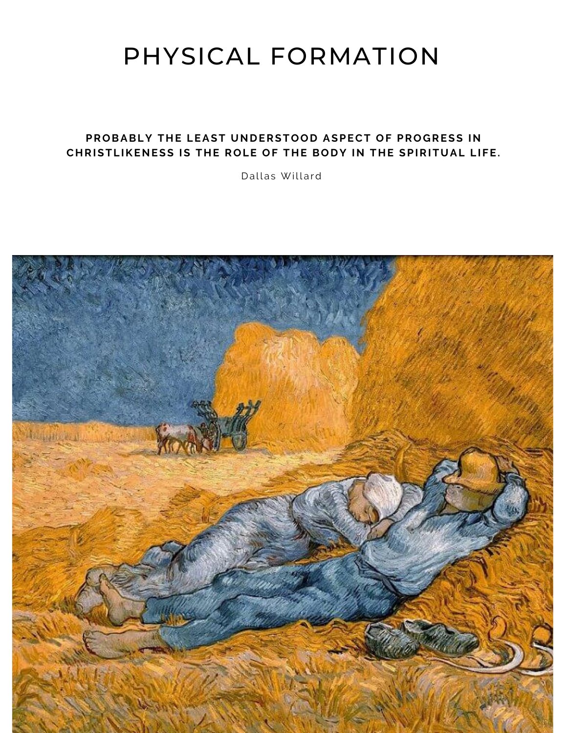# PHYSICAL FORMATION

### **PROBABLY THE LEAST UNDERSTOOD ASPECT OF PROGRESS IN CHRISTLIKENESS IS THE ROLE OF THE BODY IN THE SPIRITUAL LIFE.**

Dallas Willard

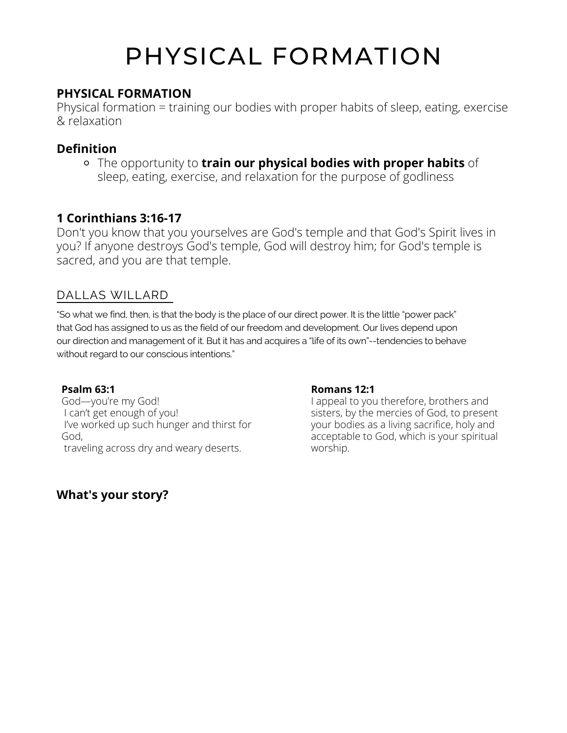# PHYSICAL FORMATION

### **PHYSICAL FORMATION**

Physical formation = training our bodies with proper habits of sleep, eating, exercise & relaxation

## **Definition**

The opportunity to **train our physical bodies with proper habits** of sleep, eating, exercise, and relaxation for the purpose of godliness

# **1 Corinthians 3:16-17**

Don't you know that you yourselves are God's temple and that God's Spirit lives in you? If anyone destroys God's temple, God will destroy him; for God's temple is sacred, and you are that temple.

## DALLAS WILLARD

"So what we find, then, is that the body is the place of our direct power. It is the little "power pack" that God has assigned to us as the field of our freedom and development. Our lives depend upon our direction and management of it. But it has and acquires a "life of its own"--tendencies to behave without regard to our conscious intentions."

### **Psalm 63:1**

God—you're my God! I can't get enough of you! I've worked up such hunger and thirst for God, traveling across dry and weary deserts.

### **Romans 12:1**

I appeal to you therefore, brothers and sisters, by the mercies of God, to present your bodies as a living sacrifice, holy and acceptable to God, which is your spiritual worship.

## **What's your story?**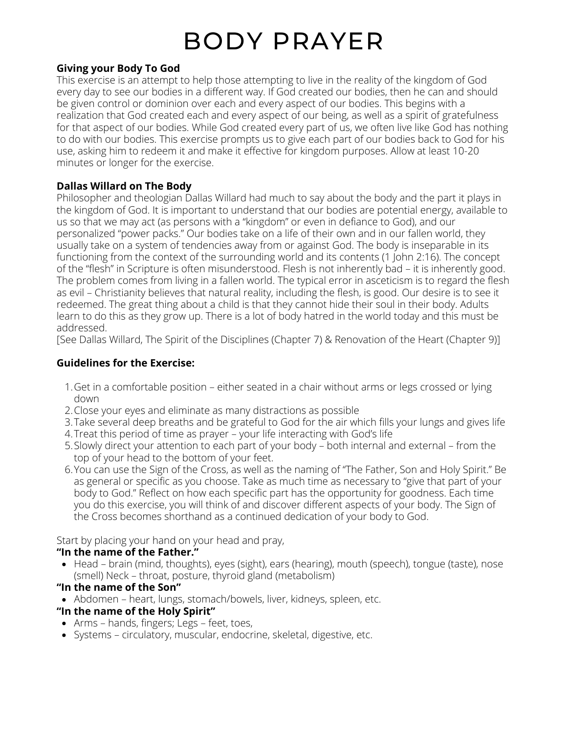# BODY PRAYER

#### **Giving your Body To God**

This exercise is an attempt to help those attempting to live in the reality of the kingdom of God every day to see our bodies in a different way. If God created our bodies, then he can and should be given control or dominion over each and every aspect of our bodies. This begins with a realization that God created each and every aspect of our being, as well as a spirit of gratefulness for that aspect of our bodies. While God created every part of us, we often live like God has nothing to do with our bodies. This exercise prompts us to give each part of our bodies back to God for his use, asking him to redeem it and make it effective for kingdom purposes. Allow at least 10-20 minutes or longer for the exercise.

### **Dallas Willard on The Body**

Philosopher and theologian Dallas Willard had much to say about the body and the part it plays in the kingdom of God. It is important to understand that our bodies are potential energy, available to us so that we may act (as persons with a "kingdom" or even in defiance to God), and our personalized "power packs." Our bodies take on a life of their own and in our fallen world, they usually take on a system of tendencies away from or against God. The body is inseparable in its functioning from the context of the surrounding world and its contents (1 John 2:16). The concept of the "flesh" in Scripture is often misunderstood. Flesh is not inherently bad – it is inherently good. The problem comes from living in a fallen world. The typical error in asceticism is to regard the flesh as evil – Christianity believes that natural reality, including the flesh, is good. Our desire is to see it redeemed. The great thing about a child is that they cannot hide their soul in their body. Adults learn to do this as they grow up. There is a lot of body hatred in the world today and this must be addressed.

[See Dallas Willard, The Spirit of the Disciplines (Chapter 7) & Renovation of the Heart (Chapter 9)]

### **Guidelines for the Exercise:**

- Get in a comfortable position either seated in a chair without arms or legs crossed or lying 1. down
- Close your eyes and eliminate as many distractions as possible 2.
- Take several deep breaths and be grateful to God for the air which fills your lungs and gives life 3.
- 4.Treat this period of time as prayer your life interacting with God's life
- Slowly direct your attention to each part of your body both internal and external from the 5. top of your head to the bottom of your feet.
- You can use the Sign of the Cross, as well as the naming of "The Father, Son and Holy Spirit." Be 6. as general or specific as you choose. Take as much time as necessary to "give that part of your body to God." Reflect on how each specific part has the opportunity for goodness. Each time you do this exercise, you will think of and discover different aspects of your body. The Sign of the Cross becomes shorthand as a continued dedication of your body to God.

Start by placing your hand on your head and pray,

### **"In the name of the Father."**

- Head brain (mind, thoughts), eyes (sight), ears (hearing), mouth (speech), tongue (taste), nose (smell) Neck – throat, posture, thyroid gland (metabolism)
- **"In the name of the Son"**
- Abdomen heart, lungs, stomach/bowels, liver, kidneys, spleen, etc.

### **"In the name of the Holy Spirit"**

- Arms hands, fingers; Legs feet, toes,
- Systems circulatory, muscular, endocrine, skeletal, digestive, etc.